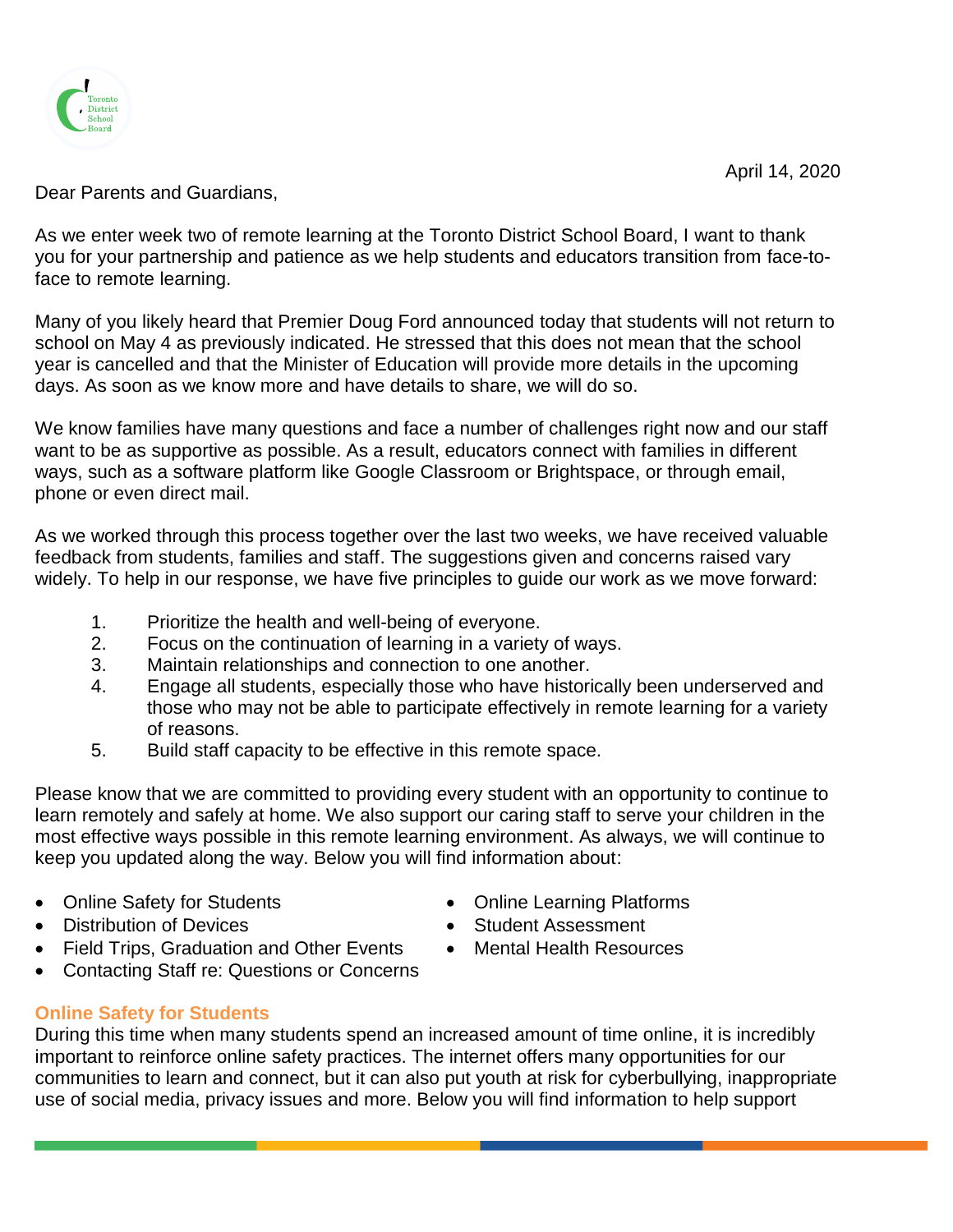April 14, 2020



Dear Parents and Guardians,

As we enter week two of remote learning at the Toronto District School Board, I want to thank you for your partnership and patience as we help students and educators transition from face-toface to remote learning.

Many of you likely heard that Premier Doug Ford announced today that students will not return to school on May 4 as previously indicated. He stressed that this does not mean that the school year is cancelled and that the Minister of Education will provide more details in the upcoming days. As soon as we know more and have details to share, we will do so.

We know families have many questions and face a number of challenges right now and our staff want to be as supportive as possible. As a result, educators connect with families in different ways, such as a software platform like Google Classroom or Brightspace, or through email, phone or even direct mail.

As we worked through this process together over the last two weeks, we have received valuable feedback from students, families and staff. The suggestions given and concerns raised vary widely. To help in our response, we have five principles to guide our work as we move forward:

- 1. Prioritize the health and well-being of everyone.
- 2. Focus on the continuation of learning in a variety of ways.
- 3. Maintain relationships and connection to one another.
- 4. Engage all students, especially those who have historically been underserved and those who may not be able to participate effectively in remote learning for a variety of reasons.
- 5. Build staff capacity to be effective in this remote space.

Please know that we are committed to providing every student with an opportunity to continue to learn remotely and safely at home. We also support our caring staff to serve your children in the most effective ways possible in this remote learning environment. As always, we will continue to keep you updated along the way. Below you will find information about:

- Online Safety for Students **Conserversity** Online Learning Platforms
- Distribution of Devices **Student Assessment Student Assessment**
- Field Trips, Graduation and Other Events Mental Health Resources
- Contacting Staff re: Questions or Concerns

# **Online Safety for Students**

During this time when many students spend an increased amount of time online, it is incredibly important to reinforce online safety practices. The internet offers many opportunities for our communities to learn and connect, but it can also put youth at risk for cyberbullying, inappropriate use of social media, privacy issues and more. Below you will find information to help support

- 
- 
-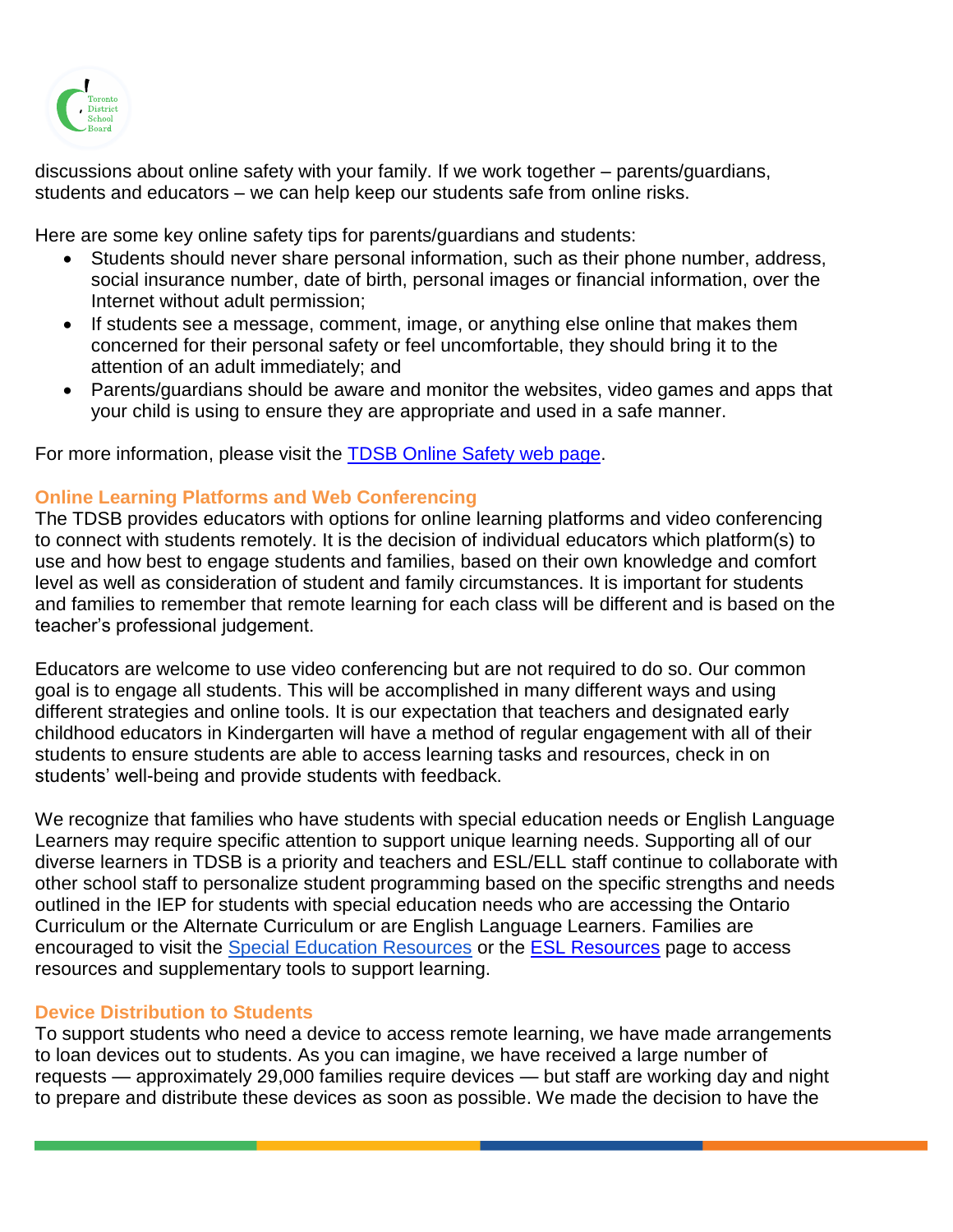

discussions about online safety with your family. If we work together – parents/guardians, students and educators – we can help keep our students safe from online risks.

Here are some key online safety tips for parents/guardians and students:

- Students should never share personal information, such as their phone number, address, social insurance number, date of birth, personal images or financial information, over the Internet without adult permission;
- If students see a message, comment, image, or anything else online that makes them concerned for their personal safety or feel uncomfortable, they should bring it to the attention of an adult immediately; and
- Parents/guardians should be aware and monitor the websites, video games and apps that your child is using to ensure they are appropriate and used in a safe manner.

For more information, please visit the [TDSB Online Safety web page.](https://www.tdsb.on.ca/Remote-Learning-Support-Resources-for-Educators/Digital-Learning-Tools/Online-Safety)

# **Online Learning Platforms and Web Conferencing**

The TDSB provides educators with options for online learning platforms and video conferencing to connect with students remotely. It is the decision of individual educators which platform(s) to use and how best to engage students and families, based on their own knowledge and comfort level as well as consideration of student and family circumstances. It is important for students and families to remember that remote learning for each class will be different and is based on the teacher's professional judgement.

Educators are welcome to use video conferencing but are not required to do so. Our common goal is to engage all students. This will be accomplished in many different ways and using different strategies and online tools. It is our expectation that teachers and designated early childhood educators in Kindergarten will have a method of regular engagement with all of their students to ensure students are able to access learning tasks and resources, check in on students' well-being and provide students with feedback.

We recognize that families who have students with special education needs or English Language Learners may require specific attention to support unique learning needs. Supporting all of our diverse learners in TDSB is a priority and teachers and ESL/ELL staff continue to collaborate with other school staff to personalize student programming based on the specific strengths and needs outlined in the IEP for students with special education needs who are accessing the Ontario Curriculum or the Alternate Curriculum or are English Language Learners. Families are encouraged to visit the [Special Education Resources](https://www.tdsb.on.ca/Remote-Learning-Support-Resources-for-Educators/Resources/Special-Education-Resources) or the [ESL Resources](https://www.tdsb.on.ca/Remote-Learning-Support-Resources-for-Educators/Resources/ESL-Resources) page to access resources and supplementary tools to support learning.

# **Device Distribution to Students**

To support students who need a device to access remote learning, we have made arrangements to loan devices out to students. As you can imagine, we have received a large number of requests — approximately 29,000 families require devices — but staff are working day and night to prepare and distribute these devices as soon as possible. We made the decision to have the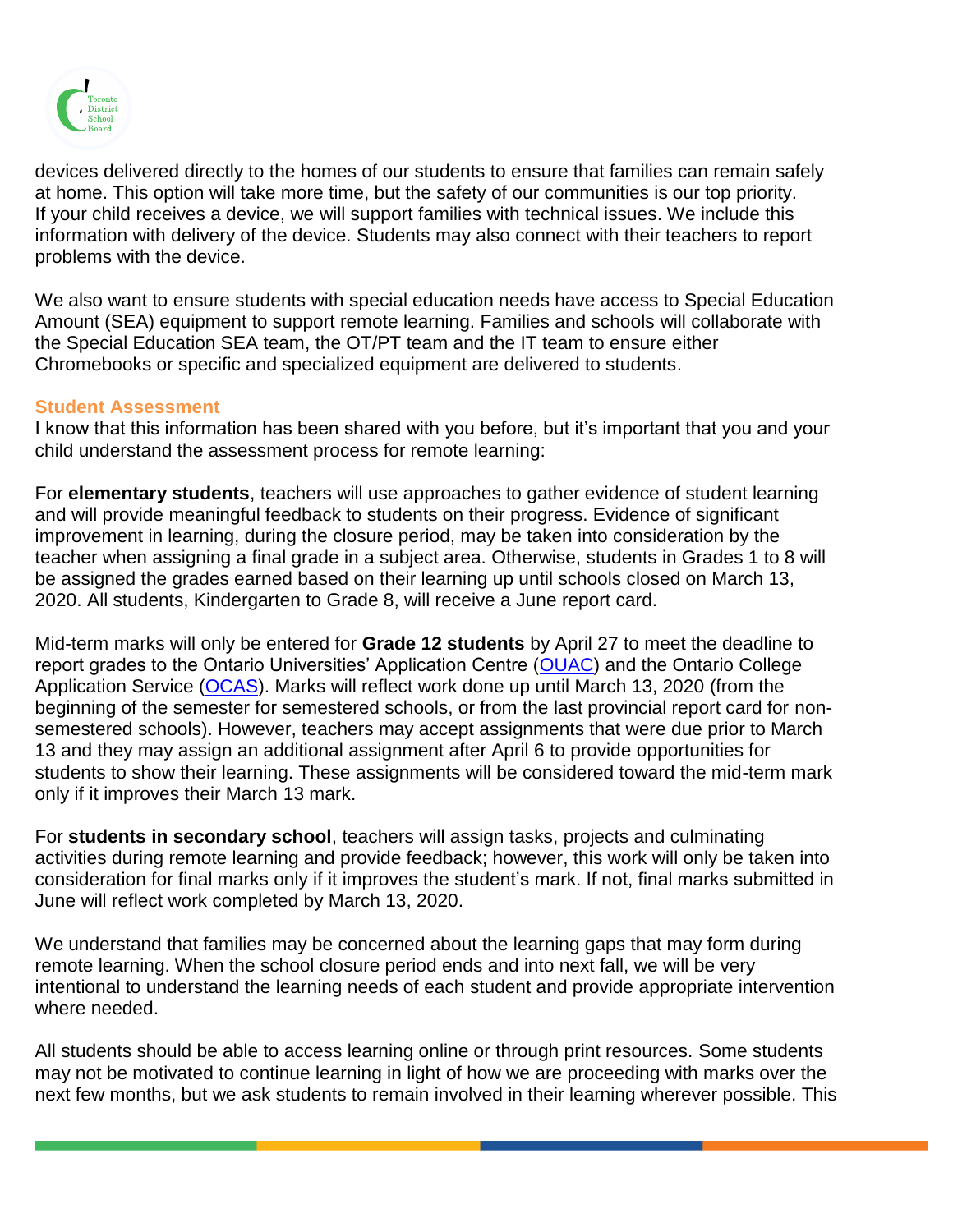

devices delivered directly to the homes of our students to ensure that families can remain safely at home. This option will take more time, but the safety of our communities is our top priority. If your child receives a device, we will support families with technical issues. We include this information with delivery of the device. Students may also connect with their teachers to report problems with the device.

We also want to ensure students with special education needs have access to Special Education Amount (SEA) equipment to support remote learning. Families and schools will collaborate with the Special Education SEA team, the OT/PT team and the IT team to ensure either Chromebooks or specific and specialized equipment are delivered to students.

### **Student Assessment**

I know that this information has been shared with you before, but it's important that you and your child understand the assessment process for remote learning:

For **elementary students**, teachers will use approaches to gather evidence of student learning and will provide meaningful feedback to students on their progress. Evidence of significant improvement in learning, during the closure period, may be taken into consideration by the teacher when assigning a final grade in a subject area. Otherwise, students in Grades 1 to 8 will be assigned the grades earned based on their learning up until schools closed on March 13, 2020. All students, Kindergarten to Grade 8, will receive a June report card.

Mid-term marks will only be entered for **Grade 12 students** by April 27 to meet the deadline to report grades to the Ontario Universities' Application Centre [\(OUAC\)](https://www.ouac.on.ca/guidance/counsellor-resources/schedule-of-dates-2020/) and the Ontario College Application Service [\(OCAS\)](https://www.ocas.ca/). Marks will reflect work done up until March 13, 2020 (from the beginning of the semester for semestered schools, or from the last provincial report card for nonsemestered schools). However, teachers may accept assignments that were due prior to March 13 and they may assign an additional assignment after April 6 to provide opportunities for students to show their learning. These assignments will be considered toward the mid-term mark only if it improves their March 13 mark.

For **students in secondary school**, teachers will assign tasks, projects and culminating activities during remote learning and provide feedback; however, this work will only be taken into consideration for final marks only if it improves the student's mark. If not, final marks submitted in June will reflect work completed by March 13, 2020.

We understand that families may be concerned about the learning gaps that may form during remote learning. When the school closure period ends and into next fall, we will be very intentional to understand the learning needs of each student and provide appropriate intervention where needed.

All students should be able to access learning online or through print resources. Some students may not be motivated to continue learning in light of how we are proceeding with marks over the next few months, but we ask students to remain involved in their learning wherever possible. This